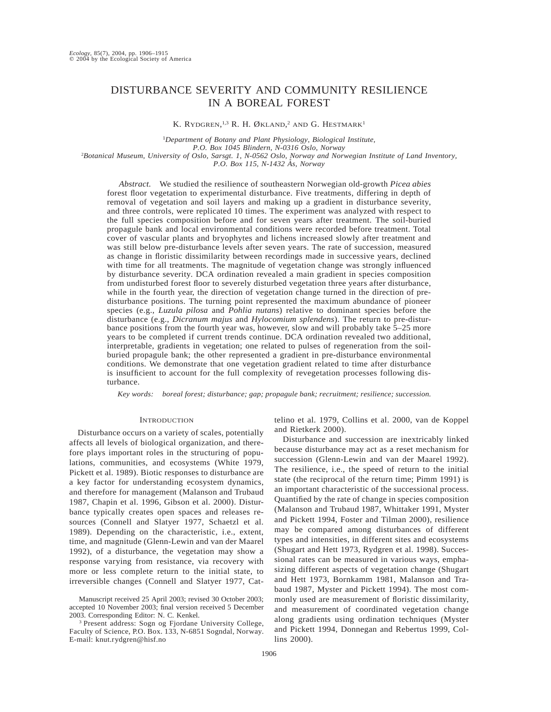# DISTURBANCE SEVERITY AND COMMUNITY RESILIENCE IN A BOREAL FOREST

K. RYDGREN,<sup>1,3</sup> R. H. ØKLAND,<sup>2</sup> AND G. HESTMARK<sup>1</sup>

<sup>1</sup>*Department of Botany and Plant Physiology, Biological Institute, P.O. Box 1045 Blindern, N-0316 Oslo, Norway* <sup>2</sup>*Botanical Museum, University of Oslo, Sarsgt. 1, N-0562 Oslo, Norway and Norwegian Institute of Land Inventory, P.O. Box 115, N-1432 A˚s, Norway*

*Abstract.* We studied the resilience of southeastern Norwegian old-growth *Picea abies* forest floor vegetation to experimental disturbance. Five treatments, differing in depth of removal of vegetation and soil layers and making up a gradient in disturbance severity, and three controls, were replicated 10 times. The experiment was analyzed with respect to the full species composition before and for seven years after treatment. The soil-buried propagule bank and local environmental conditions were recorded before treatment. Total cover of vascular plants and bryophytes and lichens increased slowly after treatment and was still below pre-disturbance levels after seven years. The rate of succession, measured as change in floristic dissimilarity between recordings made in successive years, declined with time for all treatments. The magnitude of vegetation change was strongly influenced by disturbance severity. DCA ordination revealed a main gradient in species composition from undisturbed forest floor to severely disturbed vegetation three years after disturbance, while in the fourth year, the direction of vegetation change turned in the direction of predisturbance positions. The turning point represented the maximum abundance of pioneer species (e.g., *Luzula pilosa* and *Pohlia nutans*) relative to dominant species before the disturbance (e.g., *Dicranum majus* and *Hylocomium splendens*). The return to pre-disturbance positions from the fourth year was, however, slow and will probably take 5–25 more years to be completed if current trends continue. DCA ordination revealed two additional, interpretable, gradients in vegetation; one related to pulses of regeneration from the soilburied propagule bank; the other represented a gradient in pre-disturbance environmental conditions. We demonstrate that one vegetation gradient related to time after disturbance is insufficient to account for the full complexity of revegetation processes following disturbance.

*Key words: boreal forest; disturbance; gap; propagule bank; recruitment; resilience; succession.*

# **INTRODUCTION**

Disturbance occurs on a variety of scales, potentially affects all levels of biological organization, and therefore plays important roles in the structuring of populations, communities, and ecosystems (White 1979, Pickett et al. 1989). Biotic responses to disturbance are a key factor for understanding ecosystem dynamics, and therefore for management (Malanson and Trubaud 1987, Chapin et al. 1996, Gibson et al. 2000). Disturbance typically creates open spaces and releases resources (Connell and Slatyer 1977, Schaetzl et al. 1989). Depending on the characteristic, i.e., extent, time, and magnitude (Glenn-Lewin and van der Maarel 1992), of a disturbance, the vegetation may show a response varying from resistance, via recovery with more or less complete return to the initial state, to irreversible changes (Connell and Slatyer 1977, Cat-

<sup>3</sup> Present address: Sogn og Fjordane University College, Faculty of Science, P.O. Box. 133, N-6851 Sogndal, Norway. E-mail: knut.rydgren@hisf.no

telino et al. 1979, Collins et al. 2000, van de Koppel and Rietkerk 2000).

Disturbance and succession are inextricably linked because disturbance may act as a reset mechanism for succession (Glenn-Lewin and van der Maarel 1992). The resilience, i.e., the speed of return to the initial state (the reciprocal of the return time; Pimm 1991) is an important characteristic of the successional process. Quantified by the rate of change in species composition (Malanson and Trubaud 1987, Whittaker 1991, Myster and Pickett 1994, Foster and Tilman 2000), resilience may be compared among disturbances of different types and intensities, in different sites and ecosystems (Shugart and Hett 1973, Rydgren et al. 1998). Successional rates can be measured in various ways, emphasizing different aspects of vegetation change (Shugart and Hett 1973, Bornkamm 1981, Malanson and Trabaud 1987, Myster and Pickett 1994). The most commonly used are measurement of floristic dissimilarity, and measurement of coordinated vegetation change along gradients using ordination techniques (Myster and Pickett 1994, Donnegan and Rebertus 1999, Collins 2000).

Manuscript received 25 April 2003; revised 30 October 2003; accepted 10 November 2003; final version received 5 December 2003. Corresponding Editor: N. C. Kenkel.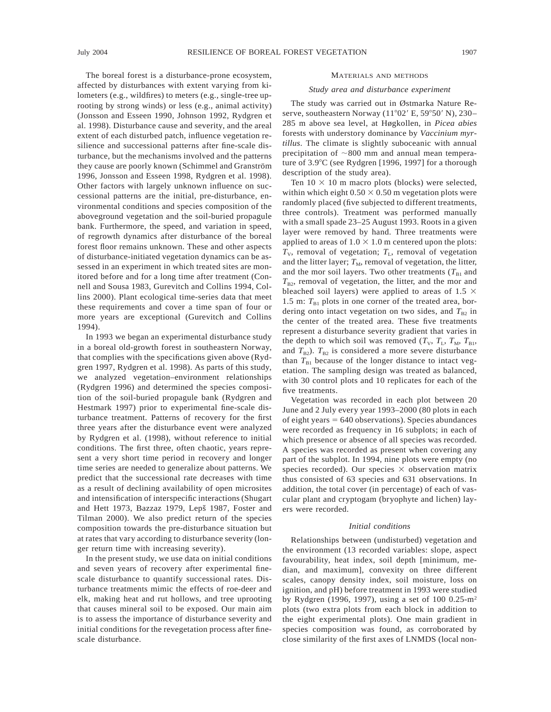The boreal forest is a disturbance-prone ecosystem, affected by disturbances with extent varying from kilometers (e.g., wildfires) to meters (e.g., single-tree uprooting by strong winds) or less (e.g., animal activity) (Jonsson and Esseen 1990, Johnson 1992, Rydgren et al. 1998). Disturbance cause and severity, and the areal extent of each disturbed patch, influence vegetation resilience and successional patterns after fine-scale disturbance, but the mechanisms involved and the patterns they cause are poorly known (Schimmel and Granström 1996, Jonsson and Esseen 1998, Rydgren et al. 1998). Other factors with largely unknown influence on successional patterns are the initial, pre-disturbance, environmental conditions and species composition of the aboveground vegetation and the soil-buried propagule bank. Furthermore, the speed, and variation in speed, of regrowth dynamics after disturbance of the boreal forest floor remains unknown. These and other aspects of disturbance-initiated vegetation dynamics can be assessed in an experiment in which treated sites are monitored before and for a long time after treatment (Connell and Sousa 1983, Gurevitch and Collins 1994, Collins 2000). Plant ecological time-series data that meet these requirements and cover a time span of four or more years are exceptional (Gurevitch and Collins 1994).

In 1993 we began an experimental disturbance study in a boreal old-growth forest in southeastern Norway, that complies with the specifications given above (Rydgren 1997, Rydgren et al. 1998). As parts of this study, we analyzed vegetation–environment relationships (Rydgren 1996) and determined the species composition of the soil-buried propagule bank (Rydgren and Hestmark 1997) prior to experimental fine-scale disturbance treatment. Patterns of recovery for the first three years after the disturbance event were analyzed by Rydgren et al. (1998), without reference to initial conditions. The first three, often chaotic, years represent a very short time period in recovery and longer time series are needed to generalize about patterns. We predict that the successional rate decreases with time as a result of declining availability of open microsites and intensification of interspecific interactions (Shugart and Hett 1973, Bazzaz 1979, Lepš 1987, Foster and Tilman 2000). We also predict return of the species composition towards the pre-disturbance situation but at rates that vary according to disturbance severity (longer return time with increasing severity).

In the present study, we use data on initial conditions and seven years of recovery after experimental finescale disturbance to quantify successional rates. Disturbance treatments mimic the effects of roe-deer and elk, making heat and rut hollows, and tree uprooting that causes mineral soil to be exposed. Our main aim is to assess the importance of disturbance severity and initial conditions for the revegetation process after finescale disturbance.

## MATERIALS AND METHODS

# *Study area and disturbance experiment*

The study was carried out in Østmarka Nature Reserve, southeastern Norway  $(11^{\circ}02'$  E, 59°50' N), 230– 285 m above sea level, at Høgkollen, in *Picea abies* forests with understory dominance by *Vaccinium myrtillus*. The climate is slightly suboceanic with annual precipitation of  $\sim 800$  mm and annual mean temperature of  $3.9^{\circ}$ C (see Rydgren [1996, 1997] for a thorough description of the study area).

Ten  $10 \times 10$  m macro plots (blocks) were selected, within which eight  $0.50 \times 0.50$  m vegetation plots were randomly placed (five subjected to different treatments, three controls). Treatment was performed manually with a small spade 23–25 August 1993. Roots in a given layer were removed by hand. Three treatments were applied to areas of  $1.0 \times 1.0$  m centered upon the plots:  $T_{V}$ , removal of vegetation;  $T_{L}$ , removal of vegetation and the litter layer;  $T_M$ , removal of vegetation, the litter, and the mor soil layers. Two other treatments ( $T_{B1}$  and  $T_{B2}$ , removal of vegetation, the litter, and the mor and bleached soil layers) were applied to areas of 1.5  $\times$ 1.5 m:  $T_{B1}$  plots in one corner of the treated area, bordering onto intact vegetation on two sides, and  $T_{B2}$  in the center of the treated area. These five treatments represent a disturbance severity gradient that varies in the depth to which soil was removed  $(T_{\rm V}, T_{\rm L}, T_{\rm M}, T_{\rm B1}, T_{\rm B2})$ and  $T_{B2}$ ).  $T_{B2}$  is considered a more severe disturbance than  $T_{B1}$  because of the longer distance to intact vegetation. The sampling design was treated as balanced, with 30 control plots and 10 replicates for each of the five treatments.

Vegetation was recorded in each plot between 20 June and 2 July every year 1993–2000 (80 plots in each of eight years  $= 640$  observations). Species abundances were recorded as frequency in 16 subplots; in each of which presence or absence of all species was recorded. A species was recorded as present when covering any part of the subplot. In 1994, nine plots were empty (no species recorded). Our species  $\times$  observation matrix thus consisted of 63 species and 631 observations. In addition, the total cover (in percentage) of each of vascular plant and cryptogam (bryophyte and lichen) layers were recorded.

#### *Initial conditions*

Relationships between (undisturbed) vegetation and the environment (13 recorded variables: slope, aspect favourability, heat index, soil depth [minimum, median, and maximum], convexity on three different scales, canopy density index, soil moisture, loss on ignition, and pH) before treatment in 1993 were studied by Rydgren (1996, 1997), using a set of 100 0.25-m2 plots (two extra plots from each block in addition to the eight experimental plots). One main gradient in species composition was found, as corroborated by close similarity of the first axes of LNMDS (local non-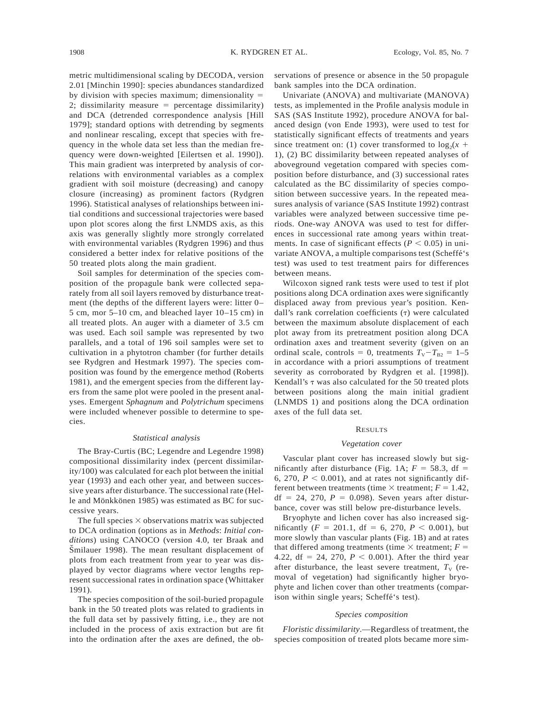metric multidimensional scaling by DECODA, version 2.01 [Minchin 1990]: species abundances standardized by division with species maximum; dimensionality  $=$ 2; dissimilarity measure  $=$  percentage dissimilarity) and DCA (detrended correspondence analysis [Hill 1979]; standard options with detrending by segments and nonlinear rescaling, except that species with frequency in the whole data set less than the median frequency were down-weighted [Eilertsen et al. 1990]). This main gradient was interpreted by analysis of correlations with environmental variables as a complex gradient with soil moisture (decreasing) and canopy closure (increasing) as prominent factors (Rydgren 1996). Statistical analyses of relationships between initial conditions and successional trajectories were based upon plot scores along the first LNMDS axis, as this axis was generally slightly more strongly correlated with environmental variables (Rydgren 1996) and thus considered a better index for relative positions of the 50 treated plots along the main gradient.

Soil samples for determination of the species composition of the propagule bank were collected separately from all soil layers removed by disturbance treatment (the depths of the different layers were: litter 0– 5 cm, mor 5–10 cm, and bleached layer 10–15 cm) in all treated plots. An auger with a diameter of 3.5 cm was used. Each soil sample was represented by two parallels, and a total of 196 soil samples were set to cultivation in a phytotron chamber (for further details see Rydgren and Hestmark 1997). The species composition was found by the emergence method (Roberts 1981), and the emergent species from the different layers from the same plot were pooled in the present analyses. Emergent *Sphagnum* and *Polytrichum* specimens were included whenever possible to determine to species.

# *Statistical analysis*

The Bray-Curtis (BC; Legendre and Legendre 1998) compositional dissimilarity index (percent dissimilarity/100) was calculated for each plot between the initial year (1993) and each other year, and between successive years after disturbance. The successional rate (Helle and Mönkkönen 1985) was estimated as BC for successive years.

The full species  $\times$  observations matrix was subjected to DCA ordination (options as in *Methods*: *Initial conditions*) using CANOCO (version 4.0, ter Braak and Smilauer 1998). The mean resultant displacement of plots from each treatment from year to year was displayed by vector diagrams where vector lengths represent successional rates in ordination space (Whittaker 1991).

The species composition of the soil-buried propagule bank in the 50 treated plots was related to gradients in the full data set by passively fitting, i.e., they are not included in the process of axis extraction but are fit into the ordination after the axes are defined, the observations of presence or absence in the 50 propagule bank samples into the DCA ordination.

Univariate (ANOVA) and multivariate (MANOVA) tests, as implemented in the Profile analysis module in SAS (SAS Institute 1992), procedure ANOVA for balanced design (von Ende 1993), were used to test for statistically significant effects of treatments and years since treatment on: (1) cover transformed to  $log_2(x +$ 1), (2) BC dissimilarity between repeated analyses of aboveground vegetation compared with species composition before disturbance, and (3) successional rates calculated as the BC dissimilarity of species composition between successive years. In the repeated measures analysis of variance (SAS Institute 1992) contrast variables were analyzed between successive time periods. One-way ANOVA was used to test for differences in successional rate among years within treatments. In case of significant effects ( $P < 0.05$ ) in univariate ANOVA, a multiple comparisons test (Scheffe´'s test) was used to test treatment pairs for differences between means.

Wilcoxon signed rank tests were used to test if plot positions along DCA ordination axes were significantly displaced away from previous year's position. Kendall's rank correlation coefficients  $(τ)$  were calculated between the maximum absolute displacement of each plot away from its pretreatment position along DCA ordination axes and treatment severity (given on an ordinal scale, controls = 0, treatments  $T_V - T_{B2} = 1-5$ in accordance with a priori assumptions of treatment severity as corroborated by Rydgren et al. [1998]). Kendall's  $\tau$  was also calculated for the 50 treated plots between positions along the main initial gradient (LNMDS 1) and positions along the DCA ordination axes of the full data set.

# **RESULTS**

# *Vegetation cover*

Vascular plant cover has increased slowly but significantly after disturbance (Fig. 1A;  $F = 58.3$ , df = 6, 270,  $P < 0.001$ ), and at rates not significantly different between treatments (time  $\times$  treatment;  $F = 1.42$ , df = 24, 270,  $P = 0.098$ ). Seven years after disturbance, cover was still below pre-disturbance levels.

Bryophyte and lichen cover has also increased significantly ( $F = 201.1$ , df = 6, 270,  $P < 0.001$ ), but more slowly than vascular plants (Fig. 1B) and at rates that differed among treatments (time  $\times$  treatment;  $F =$ 4.22, df = 24, 270,  $P < 0.001$ ). After the third year after disturbance, the least severe treatment,  $T_V$  (removal of vegetation) had significantly higher bryophyte and lichen cover than other treatments (comparison within single years; Scheffé's test).

#### *Species composition*

*Floristic dissimilarity*.—Regardless of treatment, the species composition of treated plots became more sim-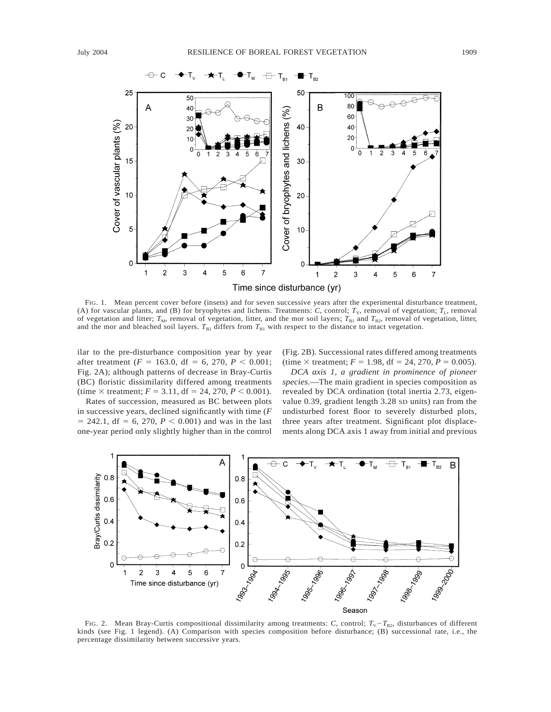

FIG. 1. Mean percent cover before (insets) and for seven successive years after the experimental disturbance treatment, (A) for vascular plants, and (B) for bryophytes and lichens. Treatments:  $C$ , control;  $T_V$ , removal of vegetation;  $T_L$ , removal of vegetation and litter;  $T_M$ , removal of vegetation, litter, and the mor soil layers;  $T_{B1}$  and  $T_{B2}$ , removal of vegetation, litter, and the mor and bleached soil layers.  $T_{B2}$  differs from  $T_{B1}$  with respect to the distance to intact vegetation.

ilar to the pre-disturbance composition year by year after treatment ( $F = 163.0$ , df = 6, 270,  $P < 0.001$ ; Fig. 2A); although patterns of decrease in Bray-Curtis (BC) floristic dissimilarity differed among treatments (time  $\times$  treatment; *F* = 3.11, df = 24, 270, *P* < 0.001).

Rates of succession, measured as BC between plots in successive years, declined significantly with time (*F*  $= 242.1$ , df = 6, 270,  $P < 0.001$ ) and was in the last one-year period only slightly higher than in the control (Fig. 2B). Successional rates differed among treatments (time  $\times$  treatment; *F* = 1.98, df = 24, 270, *P* = 0.005).

*DCA axis 1, a gradient in prominence of pioneer species*.—The main gradient in species composition as revealed by DCA ordination (total inertia 2.73, eigenvalue 0.39, gradient length 3.28 SD units) ran from the undisturbed forest floor to severely disturbed plots, three years after treatment. Significant plot displacements along DCA axis 1 away from initial and previous



FIG. 2. Mean Bray-Curtis compositional dissimilarity among treatments: *C*, control;  $T_v - T_{B2}$ , disturbances of different kinds (see Fig. 1 legend). (A) Comparison with species composition before disturbance; (B) successional rate, i.e., the percentage dissimilarity between successive years.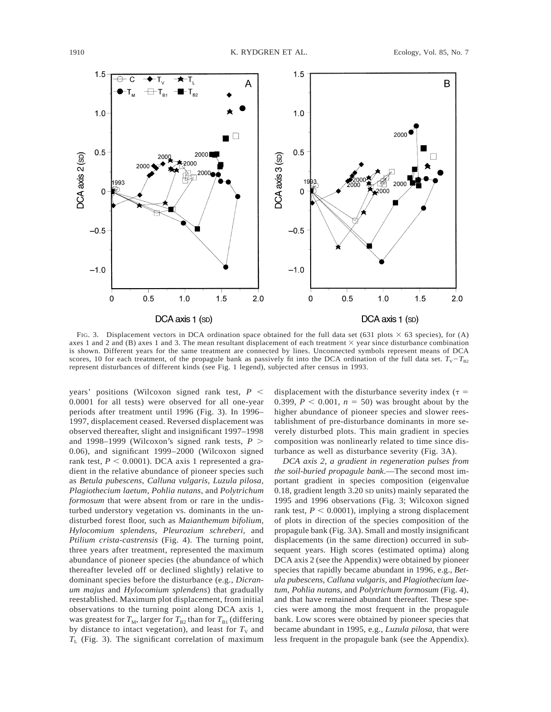

FIG. 3. Displacement vectors in DCA ordination space obtained for the full data set (631 plots  $\times$  63 species), for (A) axes 1 and 2 and (B) axes 1 and 3. The mean resultant displacement of each treatment  $\times$  year since disturbance combination is shown. Different years for the same treatment are connected by lines. Unconnected symbols represent means of DCA scores, 10 for each treatment, of the propagule bank as passively fit into the DCA ordination of the full data set.  $T_v - T_{B2}$ represent disturbances of different kinds (see Fig. 1 legend), subjected after census in 1993.

years' positions (Wilcoxon signed rank test,  $P \leq$ 0.0001 for all tests) were observed for all one-year periods after treatment until 1996 (Fig. 3). In 1996– 1997, displacement ceased. Reversed displacement was observed thereafter, slight and insignificant 1997–1998 and 1998–1999 (Wilcoxon's signed rank tests,  $P$  > 0.06), and significant 1999–2000 (Wilcoxon signed rank test,  $P < 0.0001$ ). DCA axis 1 represented a gradient in the relative abundance of pioneer species such as *Betula pubescens*, *Calluna vulgaris*, *Luzula pilosa*, *Plagiothecium laetum*, *Pohlia nutans*, and *Polytrichum formosum* that were absent from or rare in the undisturbed understory vegetation vs. dominants in the undisturbed forest floor, such as *Maianthemum bifolium*, *Hylocomium splendens*, *Pleurozium schreberi*, and *Ptilium crista*-*castrensis* (Fig. 4). The turning point, three years after treatment, represented the maximum abundance of pioneer species (the abundance of which thereafter leveled off or declined slightly) relative to dominant species before the disturbance (e.g., *Dicranum majus* and *Hylocomium splendens*) that gradually reestablished. Maximum plot displacement, from initial observations to the turning point along DCA axis 1, was greatest for  $T_M$ , larger for  $T_{B2}$  than for  $T_{B1}$  (differing by distance to intact vegetation), and least for  $T_V$  and  $T_{\text{L}}$  (Fig. 3). The significant correlation of maximum

displacement with the disturbance severity index ( $\tau$  = 0.399,  $P < 0.001$ ,  $n = 50$ ) was brought about by the higher abundance of pioneer species and slower reestablishment of pre-disturbance dominants in more severely disturbed plots. This main gradient in species composition was nonlinearly related to time since disturbance as well as disturbance severity (Fig. 3A).

*DCA axis 2, a gradient in regeneration pulses from the soil-buried propagule bank*.—The second most important gradient in species composition (eigenvalue 0.18, gradient length 3.20 SD units) mainly separated the 1995 and 1996 observations (Fig. 3; Wilcoxon signed rank test,  $P < 0.0001$ ), implying a strong displacement of plots in direction of the species composition of the propagule bank (Fig. 3A). Small and mostly insignificant displacements (in the same direction) occurred in subsequent years. High scores (estimated optima) along DCA axis 2 (see the Appendix) were obtained by pioneer species that rapidly became abundant in 1996, e.g., *Betula pubescens*, *Calluna vulgaris*, and *Plagiothecium laetum*, *Pohlia nutans*, and *Polytrichum formosum* (Fig. 4), and that have remained abundant thereafter. These species were among the most frequent in the propagule bank. Low scores were obtained by pioneer species that became abundant in 1995, e.g., *Luzula pilosa*, that were less frequent in the propagule bank (see the Appendix).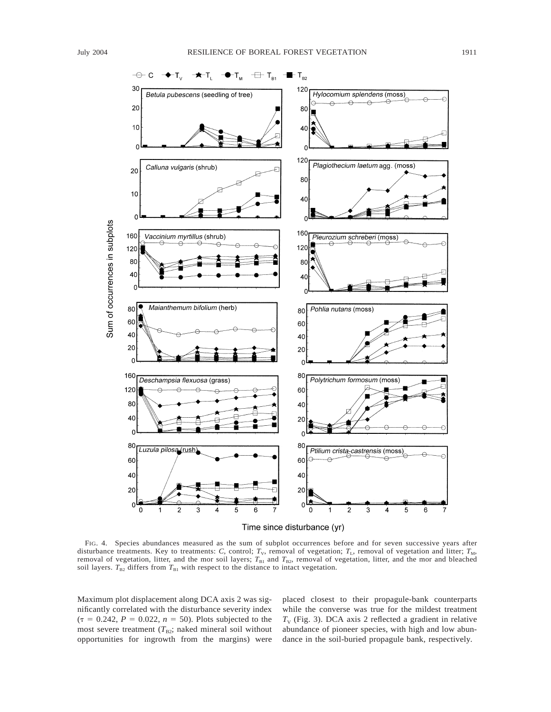

FIG. 4. Species abundances measured as the sum of subplot occurrences before and for seven successive years after disturbance treatments. Key to treatments: *C*, control;  $T_V$ , removal of vegetation;  $T_L$ , removal of vegetation and litter;  $T_M$ , removal of vegetation, litter, and the mor soil layers;  $T_{B1}$  and  $T_{B2}$ , removal of vegetation, litter, and the mor and bleached soil layers.  $T_{B2}$  differs from  $T_{B1}$  with respect to the distance to intact vegetation.

Maximum plot displacement along DCA axis 2 was significantly correlated with the disturbance severity index  $(\tau = 0.242, P = 0.022, n = 50)$ . Plots subjected to the most severe treatment  $(T_{B2};$  naked mineral soil without opportunities for ingrowth from the margins) were placed closest to their propagule-bank counterparts while the converse was true for the mildest treatment  $T_V$  (Fig. 3). DCA axis 2 reflected a gradient in relative abundance of pioneer species, with high and low abundance in the soil-buried propagule bank, respectively.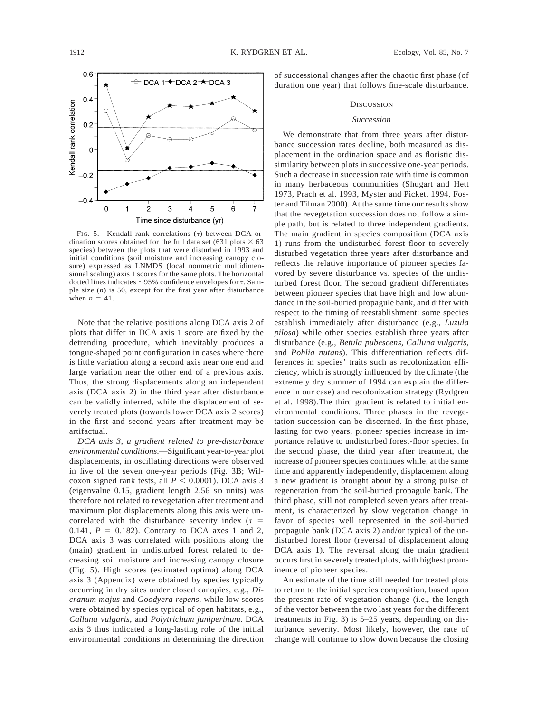

FIG. 5. Kendall rank correlations  $(\tau)$  between DCA ordination scores obtained for the full data set (631 plots  $\times$  63 species) between the plots that were disturbed in 1993 and initial conditions (soil moisture and increasing canopy closure) expressed as LNMDS (local nonmetric multidimensional scaling) axis 1 scores for the same plots. The horizontal dotted lines indicates  ${\sim}95\%$  confidence envelopes for  $\tau$ . Sample size (*n*) is 50, except for the first year after disturbance when  $n = 41$ .

Note that the relative positions along DCA axis 2 of plots that differ in DCA axis 1 score are fixed by the detrending procedure, which inevitably produces a tongue-shaped point configuration in cases where there is little variation along a second axis near one end and large variation near the other end of a previous axis. Thus, the strong displacements along an independent axis (DCA axis 2) in the third year after disturbance can be validly inferred, while the displacement of severely treated plots (towards lower DCA axis 2 scores) in the first and second years after treatment may be artifactual.

*DCA axis 3, a gradient related to pre-disturbance environmental conditions*.—Significant year-to-year plot displacements, in oscillating directions were observed in five of the seven one-year periods (Fig. 3B; Wilcoxon signed rank tests, all  $P < 0.0001$ ). DCA axis 3 (eigenvalue 0.15, gradient length 2.56 SD units) was therefore not related to revegetation after treatment and maximum plot displacements along this axis were uncorrelated with the disturbance severity index ( $\tau$  = 0.141,  $P = 0.182$ ). Contrary to DCA axes 1 and 2, DCA axis 3 was correlated with positions along the (main) gradient in undisturbed forest related to decreasing soil moisture and increasing canopy closure (Fig. 5). High scores (estimated optima) along DCA axis 3 (Appendix) were obtained by species typically occurring in dry sites under closed canopies, e.g., *Dicranum majus* and *Goodyera repens*, while low scores were obtained by species typical of open habitats, e.g., *Calluna vulgaris*, and *Polytrichum juniperinum*. DCA axis 3 thus indicated a long-lasting role of the initial environmental conditions in determining the direction of successional changes after the chaotic first phase (of duration one year) that follows fine-scale disturbance.

# **DISCUSSION**

# *Succession*

We demonstrate that from three years after disturbance succession rates decline, both measured as displacement in the ordination space and as floristic dissimilarity between plots in successive one-year periods. Such a decrease in succession rate with time is common in many herbaceous communities (Shugart and Hett 1973, Prach et al. 1993, Myster and Pickett 1994, Foster and Tilman 2000). At the same time our results show that the revegetation succession does not follow a simple path, but is related to three independent gradients. The main gradient in species composition (DCA axis 1) runs from the undisturbed forest floor to severely disturbed vegetation three years after disturbance and reflects the relative importance of pioneer species favored by severe disturbance vs. species of the undisturbed forest floor. The second gradient differentiates between pioneer species that have high and low abundance in the soil-buried propagule bank, and differ with respect to the timing of reestablishment: some species establish immediately after disturbance (e.g., *Luzula pilosa*) while other species establish three years after disturbance (e.g., *Betula pubescens*, *Calluna vulgaris*, and *Pohlia nutans*). This differentiation reflects differences in species' traits such as recolonization efficiency, which is strongly influenced by the climate (the extremely dry summer of 1994 can explain the difference in our case) and recolonization strategy (Rydgren et al. 1998).The third gradient is related to initial environmental conditions. Three phases in the revegetation succession can be discerned. In the first phase, lasting for two years, pioneer species increase in importance relative to undisturbed forest-floor species. In the second phase, the third year after treatment, the increase of pioneer species continues while, at the same time and apparently independently, displacement along a new gradient is brought about by a strong pulse of regeneration from the soil-buried propagule bank. The third phase, still not completed seven years after treatment, is characterized by slow vegetation change in favor of species well represented in the soil-buried propagule bank (DCA axis 2) and/or typical of the undisturbed forest floor (reversal of displacement along DCA axis 1). The reversal along the main gradient occurs first in severely treated plots, with highest prominence of pioneer species.

An estimate of the time still needed for treated plots to return to the initial species composition, based upon the present rate of vegetation change (i.e., the length of the vector between the two last years for the different treatments in Fig. 3) is 5–25 years, depending on disturbance severity. Most likely, however, the rate of change will continue to slow down because the closing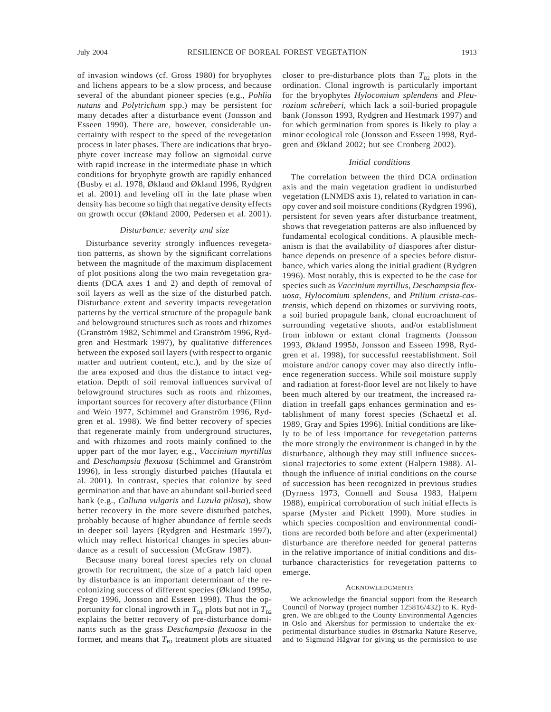of invasion windows (cf. Gross 1980) for bryophytes and lichens appears to be a slow process, and because several of the abundant pioneer species (e.g., *Pohlia nutans* and *Polytrichum* spp.) may be persistent for many decades after a disturbance event (Jonsson and Esseen 1990). There are, however, considerable uncertainty with respect to the speed of the revegetation process in later phases. There are indications that bryophyte cover increase may follow an sigmoidal curve with rapid increase in the intermediate phase in which conditions for bryophyte growth are rapidly enhanced (Busby et al. 1978, Økland and Økland 1996, Rydgren et al. 2001) and leveling off in the late phase when density has become so high that negative density effects on growth occur (Økland 2000, Pedersen et al. 2001).

#### *Disturbance: severity and size*

Disturbance severity strongly influences revegetation patterns, as shown by the significant correlations between the magnitude of the maximum displacement of plot positions along the two main revegetation gradients (DCA axes 1 and 2) and depth of removal of soil layers as well as the size of the disturbed patch. Disturbance extent and severity impacts revegetation patterns by the vertical structure of the propagule bank and belowground structures such as roots and rhizomes (Granström 1982, Schimmel and Granström 1996, Rydgren and Hestmark 1997), by qualitative differences between the exposed soil layers (with respect to organic matter and nutrient content, etc.), and by the size of the area exposed and thus the distance to intact vegetation. Depth of soil removal influences survival of belowground structures such as roots and rhizomes, important sources for recovery after disturbance (Flinn and Wein 1977, Schimmel and Granström 1996, Rydgren et al. 1998). We find better recovery of species that regenerate mainly from underground structures, and with rhizomes and roots mainly confined to the upper part of the mor layer, e.g., *Vaccinium myrtillus* and *Deschampsia flexuosa* (Schimmel and Granström 1996), in less strongly disturbed patches (Hautala et al. 2001). In contrast, species that colonize by seed germination and that have an abundant soil-buried seed bank (e.g., *Calluna vulgaris* and *Luzula pilosa*), show better recovery in the more severe disturbed patches, probably because of higher abundance of fertile seeds in deeper soil layers (Rydgren and Hestmark 1997), which may reflect historical changes in species abundance as a result of succession (McGraw 1987).

Because many boreal forest species rely on clonal growth for recruitment, the size of a patch laid open by disturbance is an important determinant of the recolonizing success of different species (Økland 1995*a*, Frego 1996, Jonsson and Esseen 1998). Thus the opportunity for clonal ingrowth in  $T_{B1}$  plots but not in  $T_{B2}$ explains the better recovery of pre-disturbance dominants such as the grass *Deschampsia flexuosa* in the former, and means that  $T<sub>BI</sub>$  treatment plots are situated closer to pre-disturbance plots than  $T_{B2}$  plots in the ordination. Clonal ingrowth is particularly important for the bryophytes *Hylocomium splendens* and *Pleurozium schreberi*, which lack a soil-buried propagule bank (Jonsson 1993, Rydgren and Hestmark 1997) and for which germination from spores is likely to play a minor ecological role (Jonsson and Esseen 1998, Rydgren and Økland 2002; but see Cronberg 2002).

# *Initial conditions*

The correlation between the third DCA ordination axis and the main vegetation gradient in undisturbed vegetation (LNMDS axis 1), related to variation in canopy cover and soil moisture conditions (Rydgren 1996), persistent for seven years after disturbance treatment, shows that revegetation patterns are also influenced by fundamental ecological conditions. A plausible mechanism is that the availability of diaspores after disturbance depends on presence of a species before disturbance, which varies along the initial gradient (Rydgren 1996). Most notably, this is expected to be the case for species such as *Vaccinium myrtillus*, *Deschampsia flexuosa*, *Hylocomium splendens*, and *Ptilium crista*-*castrensis*, which depend on rhizomes or surviving roots, a soil buried propagule bank, clonal encroachment of surrounding vegetative shoots, and/or establishment from inblown or extant clonal fragments (Jonsson 1993, Økland 1995*b*, Jonsson and Esseen 1998, Rydgren et al. 1998), for successful reestablishment. Soil moisture and/or canopy cover may also directly influence regeneration success. While soil moisture supply and radiation at forest-floor level are not likely to have been much altered by our treatment, the increased radiation in treefall gaps enhances germination and establishment of many forest species (Schaetzl et al. 1989, Gray and Spies 1996). Initial conditions are likely to be of less importance for revegetation patterns the more strongly the environment is changed in by the disturbance, although they may still influence successional trajectories to some extent (Halpern 1988). Although the influence of initial conditions on the course of succession has been recognized in previous studies (Dyrness 1973, Connell and Sousa 1983, Halpern 1988), empirical corroboration of such initial effects is sparse (Myster and Pickett 1990). More studies in which species composition and environmental conditions are recorded both before and after (experimental) disturbance are therefore needed for general patterns in the relative importance of initial conditions and disturbance characteristics for revegetation patterns to emerge.

#### **ACKNOWLEDGMENTS**

We acknowledge the financial support from the Research Council of Norway (project number 125816/432) to K. Rydgren. We are obliged to the County Environmental Agencies in Oslo and Akershus for permission to undertake the experimental disturbance studies in Østmarka Nature Reserve, and to Sigmund Hågvar for giving us the permission to use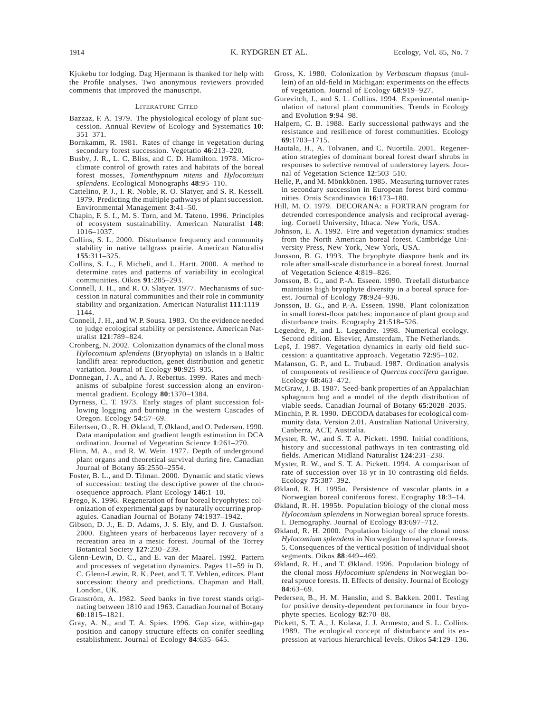Kjukebu for lodging. Dag Hjermann is thanked for help with the Profile analyses. Two anonymous reviewers provided comments that improved the manuscript.

#### LITERATURE CITED

- Bazzaz, F. A. 1979. The physiological ecology of plant succession. Annual Review of Ecology and Systematics **10**: 351–371.
- Bornkamm, R. 1981. Rates of change in vegetation during secondary forest succession. Vegetatio **46**:213–220.
- Busby, J. R., L. C. Bliss, and C. D. Hamilton. 1978. Microclimate control of growth rates and habitats of the boreal forest mosses, *Tomenthypnum nitens* and *Hylocomium splendens*. Ecological Monographs **48**:95–110.
- Cattelino, P. J., I. R. Noble, R. O. Slatyer, and S. R. Kessell. 1979. Predicting the multiple pathways of plant succession. Environmental Management **3**:41–50.
- Chapin, F. S. I., M. S. Torn, and M. Tateno. 1996. Principles of ecosystem sustainability. American Naturalist **148**: 1016–1037.
- Collins, S. L. 2000. Disturbance frequency and community stability in native tallgrass prairie. American Naturalist **155**:311–325.
- Collins, S. L., F. Micheli, and L. Hartt. 2000. A method to determine rates and patterns of variability in ecological communities. Oikos **91**:285–293.
- Connell, J. H., and R. O. Slatyer. 1977. Mechanisms of succession in natural communities and their role in community stability and organization. American Naturalist **111**:1119– 1144.
- Connell, J. H., and W. P. Sousa. 1983. On the evidence needed to judge ecological stability or persistence. American Naturalist **121**:789–824.
- Cronberg, N. 2002. Colonization dynamics of the clonal moss *Hylocomium splendens* (Bryophyta) on islands in a Baltic landlift area: reproduction, genet distribution and genetic variation. Journal of Ecology **90**:925–935.
- Donnegan, J. A., and A. J. Rebertus. 1999. Rates and mechanisms of subalpine forest succession along an environmental gradient. Ecology **80**:1370–1384.
- Dyrness, C. T. 1973. Early stages of plant succession following logging and burning in the western Cascades of Oregon. Ecology **54**:57–69.
- Eilertsen, O., R. H. Økland, T. Økland, and O. Pedersen. 1990. Data manipulation and gradient length estimation in DCA ordination. Journal of Vegetation Science **1**:261–270.
- Flinn, M. A., and R. W. Wein. 1977. Depth of underground plant organs and theoretical survival during fire. Canadian Journal of Botany **55**:2550–2554.
- Foster, B. L., and D. Tilman. 2000. Dynamic and static views of succession: testing the descriptive power of the chronosequence approach. Plant Ecology **146**:1–10.
- Frego, K. 1996. Regeneration of four boreal bryophytes: colonization of experimental gaps by naturally occurring propagules. Canadian Journal of Botany **74**:1937–1942.
- Gibson, D. J., E. D. Adams, J. S. Ely, and D. J. Gustafson. 2000. Eighteen years of herbaceous layer recovery of a recreation area in a mesic forest. Journal of the Torrey Botanical Society **127**:230–239.
- Glenn-Lewin, D. C., and E. van der Maarel. 1992. Pattern and processes of vegetation dynamics. Pages 11–59 *in* D. C. Glenn-Lewin, R. K. Peet, and T. T. Veblen, editors. Plant succession: theory and predictions. Chapman and Hall, London, UK.
- Granström, A. 1982. Seed banks in five forest stands originating between 1810 and 1963. Canadian Journal of Botany **60**:1815–1821.
- Gray, A. N., and T. A. Spies. 1996. Gap size, within-gap position and canopy structure effects on conifer seedling establishment. Journal of Ecology **84**:635–645.
- Gross, K. 1980. Colonization by *Verbascum thapsus* (mullein) of an old-field in Michigan: experiments on the effects of vegetation. Journal of Ecology **68**:919–927.
- Gurevitch, J., and S. L. Collins. 1994. Experimental manipulation of natural plant communities. Trends in Ecology and Evolution **9**:94–98.
- Halpern, C. B. 1988. Early successional pathways and the resistance and resilience of forest communities. Ecology **69**:1703–1715.
- Hautala, H., A. Tolvanen, and C. Nuortila. 2001. Regeneration strategies of dominant boreal forest dwarf shrubs in responses to selective removal of understorey layers. Journal of Vegetation Science **12**:503–510.
- Helle, P., and M. Mönkkönen. 1985. Measuring turnover rates in secondary succession in European forest bird communities. Ornis Scandinavica **16**:173–180.
- Hill, M. O. 1979. DECORANA: a FORTRAN program for detrended correspondence analysis and reciprocal averaging. Cornell University, Ithaca. New York, USA.
- Johnson, E. A. 1992. Fire and vegetation dynamics: studies from the North American boreal forest. Cambridge University Press, New York, New York, USA.
- Jonsson, B. G. 1993. The bryophyte diaspore bank and its role after small-scale disturbance in a boreal forest. Journal of Vegetation Science **4**:819–826.
- Jonsson, B. G., and P.-A. Esseen. 1990. Treefall disturbance maintains high bryophyte diversity in a boreal spruce forest. Journal of Ecology **78**:924–936.
- Jonsson, B. G., and P.-A. Esseen. 1998. Plant colonization in small forest-floor patches: importance of plant group and disturbance traits. Ecography **21**:518–526.
- Legendre, P., and L. Legendre. 1998. Numerical ecology. Second edition. Elsevier, Amsterdam, The Netherlands.
- Lepš, J. 1987. Vegetation dynamics in early old field succession: a quantitative approach. Vegetatio **72**:95–102.
- Malanson, G. P., and L. Trubaud. 1987. Ordination analysis of components of resilience of *Quercus coccifera* garrigue. Ecology **68**:463–472.
- McGraw, J. B. 1987. Seed-bank properties of an Appalachian sphagnum bog and a model of the depth distribution of viable seeds. Canadian Journal of Botany **65**:2028–2035.
- Minchin, P. R. 1990. DECODA databases for ecological community data. Version 2.01. Australian National University, Canberra, ACT, Australia.
- Myster, R. W., and S. T. A. Pickett. 1990. Initial conditions, history and successional pathways in ten contrasting old fields. American Midland Naturalist **124**:231–238.
- Myster, R. W., and S. T. A. Pickett. 1994. A comparison of rate of succession over 18 yr in 10 contrasting old fields. Ecology **75**:387–392.
- Økland, R. H. 1995*a*. Persistence of vascular plants in a Norwegian boreal coniferous forest. Ecography **18**:3–14.
- Økland, R. H. 1995*b*. Population biology of the clonal moss *Hylocomium splendens* in Norwegian boreal spruce forests. I. Demography. Journal of Ecology **83**:697–712.
- Økland, R. H. 2000. Population biology of the clonal moss *Hylocomium splendens* in Norwegian boreal spruce forests. 5. Consequences of the vertical position of individual shoot segments. Oikos **88**:449–469.
- Økland, R. H., and T. Økland. 1996. Population biology of the clonal moss *Hylocomium splendens* in Norwegian boreal spruce forests. II. Effects of density. Journal of Ecology **84**:63–69.
- Pedersen, B., H. M. Hanslin, and S. Bakken. 2001. Testing for positive density-dependent performance in four bryophyte species. Ecology **82**:70–88.
- Pickett, S. T. A., J. Kolasa, J. J. Armesto, and S. L. Collins. 1989. The ecological concept of disturbance and its expression at various hierarchical levels. Oikos **54**:129–136.